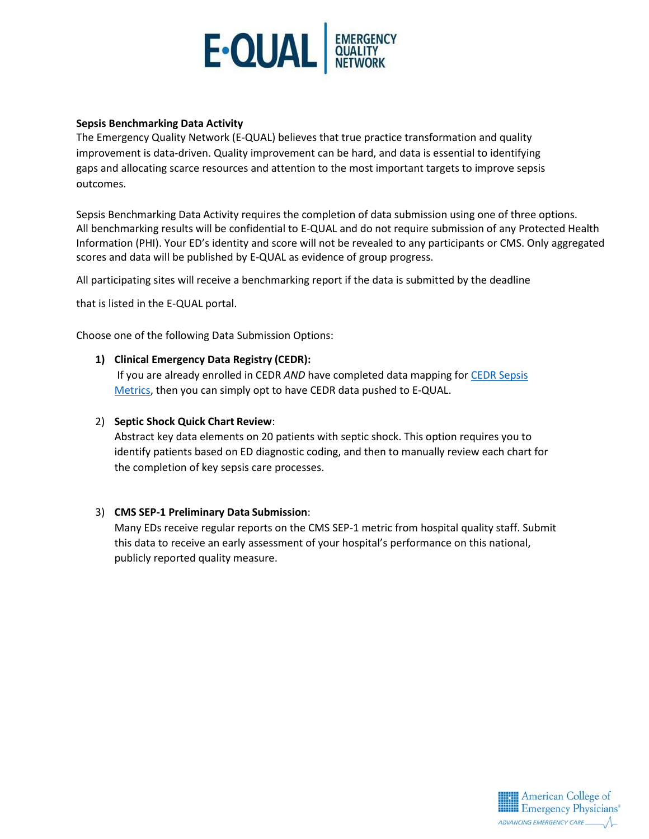

#### **Sepsis Benchmarking Data Activity**

The Emergency Quality Network (E-QUAL) believes that true practice transformation and quality improvement is data-driven. Quality improvement can be hard, and data is essential to identifying gaps and allocating scarce resources and attention to the most important targets to improve sepsis outcomes.

Sepsis Benchmarking Data Activity requires the completion of data submission using one of three options. All benchmarking results will be confidential to E-QUAL and do not require submission of any Protected Health Information (PHI). Your ED's identity and score will not be revealed to any participants or CMS. Only aggregated scores and data will be published by E-QUAL as evidence of group progress.

All participating sites will receive a benchmarking report if the data is submitted by the deadline

that is listed in the E-QUAL portal.

Choose one of the following Data Submission Options:

#### **1) Clinical Emergency Data Registry (CEDR):**

If you are already enrolled in CEDR *AND* have completed data mapping fo[r CEDR Sepsis](https://www.acep.org/cedr/) [Metrics, t](https://www.acep.org/cedr/)hen you can simply opt to have CEDR data pushed to E-QUAL.

## 2) **Septic Shock Quick Chart Review**:

Abstract key data elements on 20 patients with septic shock. This option requires you to identify patients based on ED diagnostic coding, and then to manually review each chart for the completion of key sepsis care processes.

# 3) **CMS SEP-1 Preliminary Data Submission**:

Many EDs receive regular reports on the CMS SEP-1 metric from hospital quality staff. Submit this data to receive an early assessment of your hospital's performance on this national, publicly reported quality measure.

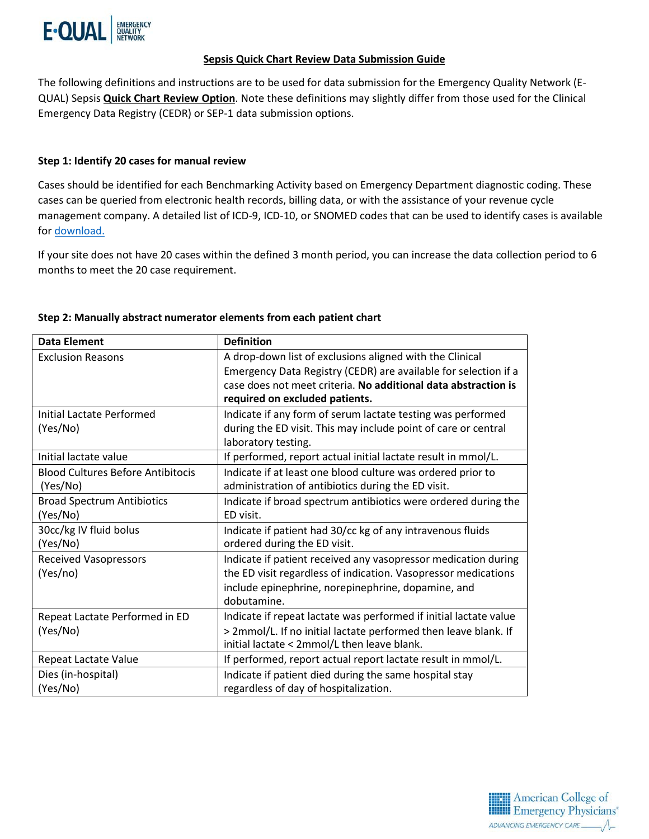

## **Sepsis Quick Chart Review Data Submission Guide**

The following definitions and instructions are to be used for data submission for the Emergency Quality Network (E-QUAL) Sepsis **Quick Chart Review Option**. Note these definitions may slightly differ from those used for the Clinical Emergency Data Registry (CEDR) or SEP-1 data submission options.

# **Step 1: Identify 20 cases for manual review**

Cases should be identified for each Benchmarking Activity based on Emergency Department diagnostic coding. These cases can be queried from electronic health records, billing data, or with the assistance of your revenue cycle management company. A detailed list of ICD-9, ICD-10, or SNOMED codes that can be used to identify cases is available for download.

If your site does not have 20 cases within the defined 3 month period, you can increase the data collection period to 6 months to meet the 20 case requirement.

| <b>Data Element</b>                      | <b>Definition</b>                                                 |
|------------------------------------------|-------------------------------------------------------------------|
| <b>Exclusion Reasons</b>                 | A drop-down list of exclusions aligned with the Clinical          |
|                                          | Emergency Data Registry (CEDR) are available for selection if a   |
|                                          | case does not meet criteria. No additional data abstraction is    |
|                                          | required on excluded patients.                                    |
| <b>Initial Lactate Performed</b>         | Indicate if any form of serum lactate testing was performed       |
| (Yes/No)                                 | during the ED visit. This may include point of care or central    |
|                                          | laboratory testing.                                               |
| Initial lactate value                    | If performed, report actual initial lactate result in mmol/L.     |
| <b>Blood Cultures Before Antibitocis</b> | Indicate if at least one blood culture was ordered prior to       |
| (Yes/No)                                 | administration of antibiotics during the ED visit.                |
| <b>Broad Spectrum Antibiotics</b>        | Indicate if broad spectrum antibiotics were ordered during the    |
| (Yes/No)                                 | ED visit.                                                         |
| 30cc/kg IV fluid bolus                   | Indicate if patient had 30/cc kg of any intravenous fluids        |
| (Yes/No)                                 | ordered during the ED visit.                                      |
| <b>Received Vasopressors</b>             | Indicate if patient received any vasopressor medication during    |
| (Yes/no)                                 | the ED visit regardless of indication. Vasopressor medications    |
|                                          | include epinephrine, norepinephrine, dopamine, and                |
|                                          | dobutamine.                                                       |
| Repeat Lactate Performed in ED           | Indicate if repeat lactate was performed if initial lactate value |
| (Yes/No)                                 | > 2mmol/L. If no initial lactate performed then leave blank. If   |
|                                          | initial lactate < 2mmol/L then leave blank.                       |
| Repeat Lactate Value                     | If performed, report actual report lactate result in mmol/L.      |
| Dies (in-hospital)                       | Indicate if patient died during the same hospital stay            |
| (Yes/No)                                 | regardless of day of hospitalization.                             |

# **Step 2: Manually abstract numerator elements from each patient chart**

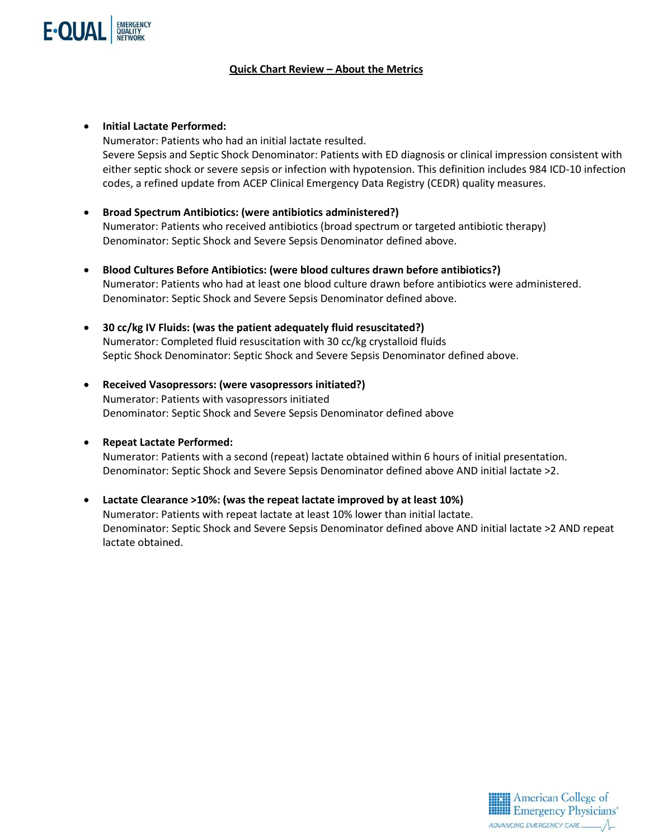

# **Quick Chart Review – About the Metrics**

- **Initial Lactate Performed:** Numerator: Patients who had an initial lactate resulted. Severe Sepsis and Septic Shock Denominator: Patients with ED diagnosis or clinical impression consistent with either septic shock or severe sepsis or infection with hypotension. This definition includes 984 ICD-10 infection codes, a refined update from ACEP Clinical Emergency Data Registry (CEDR) quality measures.
- **Broad Spectrum Antibiotics: (were antibiotics administered?)**  Numerator: Patients who received antibiotics (broad spectrum or targeted antibiotic therapy) Denominator: Septic Shock and Severe Sepsis Denominator defined above.
- **Blood Cultures Before Antibiotics: (were blood cultures drawn before antibiotics?)** Numerator: Patients who had at least one blood culture drawn before antibiotics were administered. Denominator: Septic Shock and Severe Sepsis Denominator defined above.
- **30 cc/kg IV Fluids: (was the patient adequately fluid resuscitated?)** Numerator: Completed fluid resuscitation with 30 cc/kg crystalloid fluids Septic Shock Denominator: Septic Shock and Severe Sepsis Denominator defined above.
- **Received Vasopressors: (were vasopressors initiated?)** Numerator: Patients with vasopressors initiated Denominator: Septic Shock and Severe Sepsis Denominator defined above

# • **Repeat Lactate Performed:**

Numerator: Patients with a second (repeat) lactate obtained within 6 hours of initial presentation. Denominator: Septic Shock and Severe Sepsis Denominator defined above AND initial lactate >2.

• **Lactate Clearance >10%: (was the repeat lactate improved by at least 10%)** Numerator: Patients with repeat lactate at least 10% lower than initial lactate. Denominator: Septic Shock and Severe Sepsis Denominator defined above AND initial lactate >2 AND repeat lactate obtained.

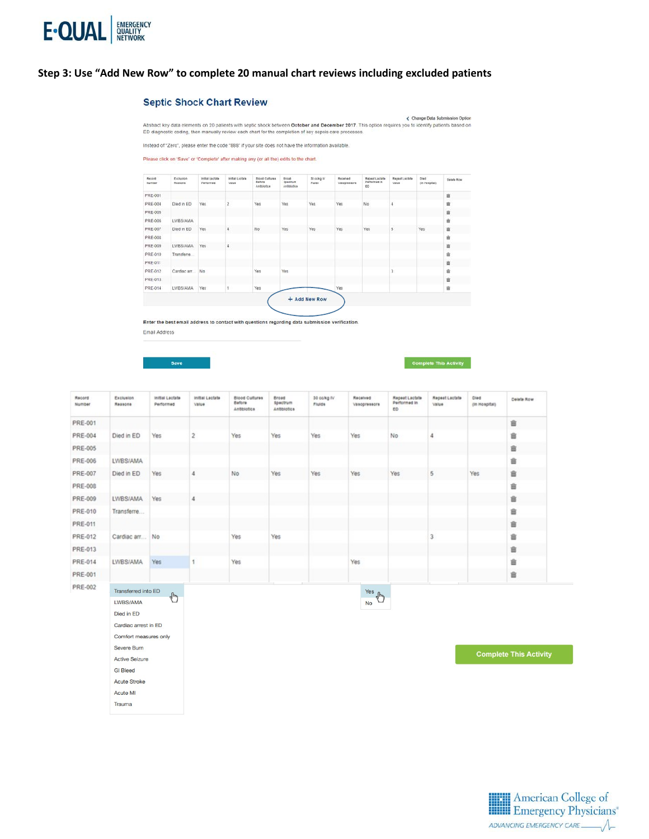

#### Step 3: Use "Add New Row" to complete 20 manual chart reviews including excluded patients

#### **Septic Shock Chart Review**

Abstract key data elements on 20 patients with septic shock between October and December 2017. This option requires you to identify patients based on<br>ED diagnostic coding, then manually review each chart for the completion

Instead of "Zero", please enter the code "888" if your site does not have the information available

Please click on 'Save' or 'Complete' after making any (or all the) edits to the chart.



Enter the best email address to contact with questions regarding data submission verification.

Email Address

**Active Seizure GI** Bleed Acute Stroke Acute MI Trauma

Save

< Change Data Submission Option

| Record<br>Number | Exclusion<br>Явавопа  | Initial Lactate<br>Performed | Initial Lactate<br>Value | <b>Blood Cultures</b><br>Before<br>Antibiotics | Broad<br>spectrum<br>Antibiotics | 30 colkg IV<br>Fluids | Received<br>Vasopressors | Repeat Lactate<br>Performed in<br>ED | Repeat Lactate<br>Value | Died<br>(in Hospital) | Delete Row                    |
|------------------|-----------------------|------------------------------|--------------------------|------------------------------------------------|----------------------------------|-----------------------|--------------------------|--------------------------------------|-------------------------|-----------------------|-------------------------------|
| <b>PRE-001</b>   |                       |                              |                          |                                                |                                  |                       |                          |                                      |                         |                       | 畲                             |
| <b>PRE-004</b>   | Died in ED            | Yes                          | 2                        | Yes                                            | Yes                              | Yes                   | Yes                      | No                                   |                         |                       | 酓                             |
| <b>PRE-005</b>   |                       |                              |                          |                                                |                                  |                       |                          |                                      |                         |                       | 亩                             |
| PRE-006          | LWBS/AMA              |                              |                          |                                                |                                  |                       |                          |                                      |                         |                       | 音                             |
| PRE-007          | Died in ED            | Yes                          | 4                        | No                                             | Yes                              | Yes                   | Yes                      | Yes                                  | 5                       | Yes                   | 亩                             |
| <b>PRE-008</b>   |                       |                              |                          |                                                |                                  |                       |                          |                                      |                         |                       | 亩                             |
| PRE-009          | LWBS/AMA              | Yes                          | 4                        |                                                |                                  |                       |                          |                                      |                         |                       | 亩                             |
| <b>PRE-010</b>   | Transferre            |                              |                          |                                                |                                  |                       |                          |                                      |                         |                       | 富                             |
| <b>PRE-011</b>   |                       |                              |                          |                                                |                                  |                       |                          |                                      |                         |                       | 畲                             |
| <b>PRE-012</b>   | Cardiac arr           | No                           |                          | Yes                                            | Yes                              |                       |                          |                                      |                         |                       | 言                             |
| PRE-013          |                       |                              |                          |                                                |                                  |                       |                          |                                      |                         |                       | 亩                             |
| PRE-014          | LWBS/AMA              | Yes                          |                          | Yes                                            |                                  |                       | Yes                      |                                      |                         |                       | 亩                             |
| <b>PRE-001</b>   |                       |                              |                          |                                                |                                  |                       |                          |                                      |                         |                       | 音                             |
| <b>PRE-002</b>   | Transferred into ED   |                              |                          |                                                |                                  |                       | Yes dry                  |                                      |                         |                       |                               |
|                  | LWBS/AMA              | $\sqrt[4]{2}$                |                          |                                                |                                  |                       | <b>No</b>                |                                      |                         |                       |                               |
|                  | Died in ED            |                              |                          |                                                |                                  |                       |                          |                                      |                         |                       |                               |
|                  | Cardiac arrest in ED  |                              |                          |                                                |                                  |                       |                          |                                      |                         |                       |                               |
|                  | Comfort measures only |                              |                          |                                                |                                  |                       |                          |                                      |                         |                       |                               |
|                  | Severe Burn           |                              |                          |                                                |                                  |                       |                          |                                      |                         |                       |                               |
|                  | $A - B$               |                              |                          |                                                |                                  |                       |                          |                                      |                         |                       | <b>Complete This Activity</b> |